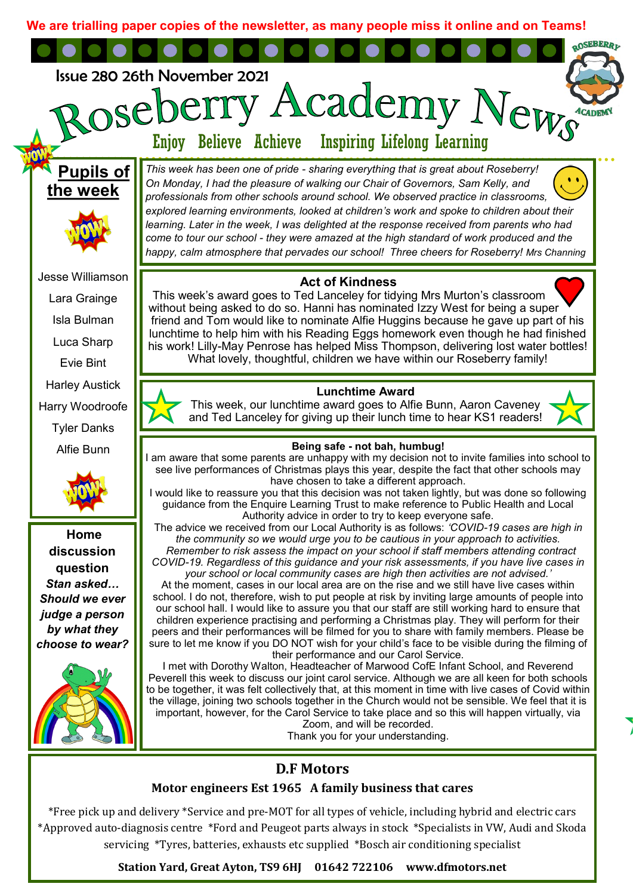**We are trialling paper copies of the newsletter, as many people miss it online and on Teams!**



**Station Yard, Great Ayton, TS9 6HJ 01642 722106 www.dfmotors.net**

\*Approved auto-diagnosis centre \*Ford and Peugeot parts always in stock \*Specialists in VW, Audi and Skoda servicing \*Tyres, batteries, exhausts etc supplied \*Bosch air conditioning specialist